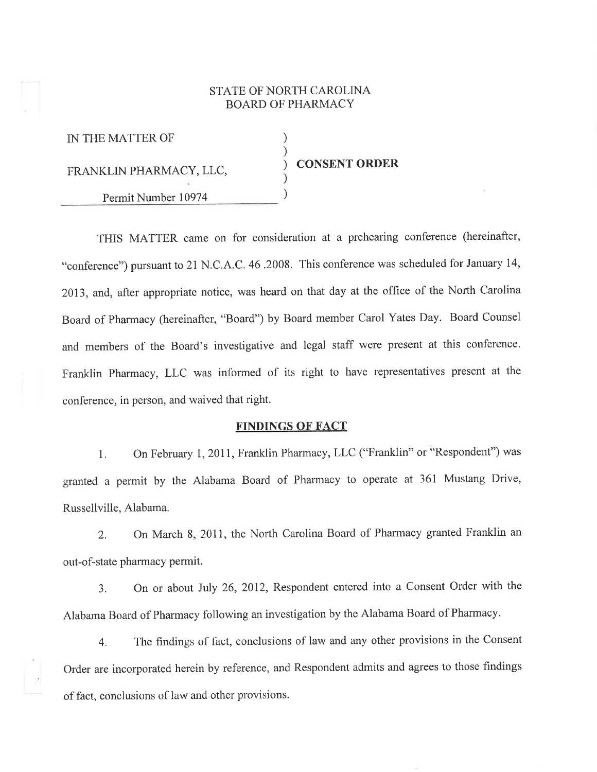## STATE OF NORTH CAROLINA BOARD OF PHARMACY

| IN THE MATTER OF        |                      |
|-------------------------|----------------------|
| FRANKLIN PHARMACY, LLC, | <b>CONSENT ORDER</b> |
| Permit Number 10974     |                      |

THIS MATTER came on for consideration at a prehearing conference (hereinafter, "conference") pursuant to 21 N.C.A .C. 46.2008. This conference was scheduled for January 14, 2013, and, after appropriate notice, was heard on that day at the offrce of the North Carolina Board of Pharmacy (hereinafter, "Board") by Board member Carol Yates Day. Board Counsel and members of the Board's investigative and legal staff were present at this conference. Franklin Pharmacy, LLC was informed of its right to have representatives present at the conference, in person, and waived that right.

### FINDINGS OF FACT

1. On February 1, 2011, Franklin Pharmacy, LLC ("Franklin" or "Respondent") was granted a permit by the Alabama Board of Pharmacy to operate at 361 Mustang Drive, Russellville, Alabama.

2. On March 8,2011, the North Carolina Board of Pharmacy granted Franklin an out-of-state pharmacy permit.

3. On or about July 26,2012, Respondent entered into a Consent Order with the Alabama Board of Pharmacy following an investigation by the Alabama Board of Pharmacy'

4. The findings of täct, conclusions of law and any other provisions in the Consent Order are incorporated herein by reference, and Respondent admits and agrees to those findings of fact, conclusions of law and other provisions.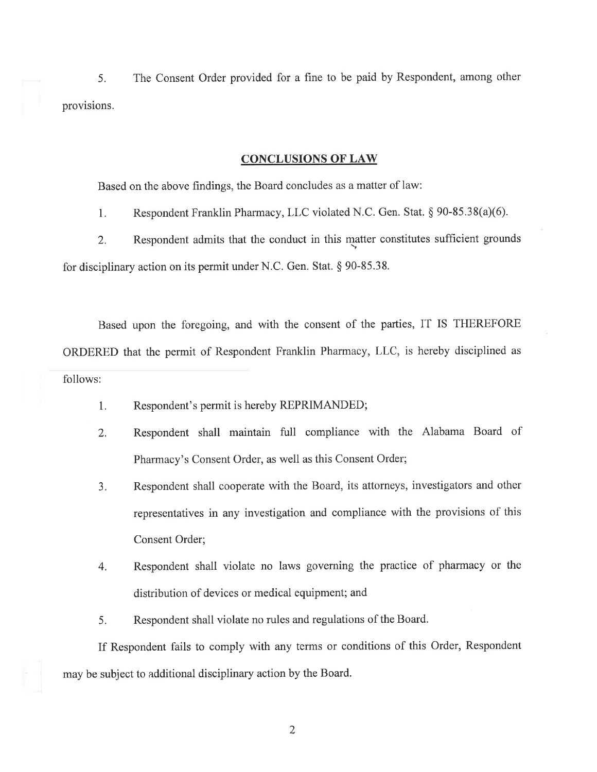5. The Consent Order provided for a fine to be paid by Respondent, among other provisions.

#### CONCLUSIONS OF LAW

Based on the above findings, the Board concludes as a matter of law:

1. Respondent Franklin Pharmacy, LLC violated N.C. Gen. Stat. \$ 90-85,38(a)(6).

2. Respondent admits that the conduct in this matter constitutes sufficient grounds for disciplinary action on its permit under N.C. Gen. Stat.  $\S 90-85.38$ .

Based upon the foregoing, and with the consent of the parties, IT IS THEREFORE ORDERED that the permit of Respondent Franklin Pharmacy, LLC, is hereby disciplined as

follows:

- 1. Respondent's permit is hereby REPRIMANDED;
- 2. Respondent shall maintain full compliance with the Alabama Board of Pharmacy's Consent Order, as well as this Consent Order;
- 3. Respondent shall cooperate with the Board, its attorneys, investigators and other representatives in any investigation and compliance with the provisions of this Consent Order;
- 4. Respondent shall violate no laws governing the practice of pharmacy or the distribution of devices or medical equipment; and
- 5. Respondent shall violate no rules and regulations of the Board.

If Respondent fails to comply with any terms or conditions of this Order, Respondent may be subject to additional disciplinary action by the Board.

2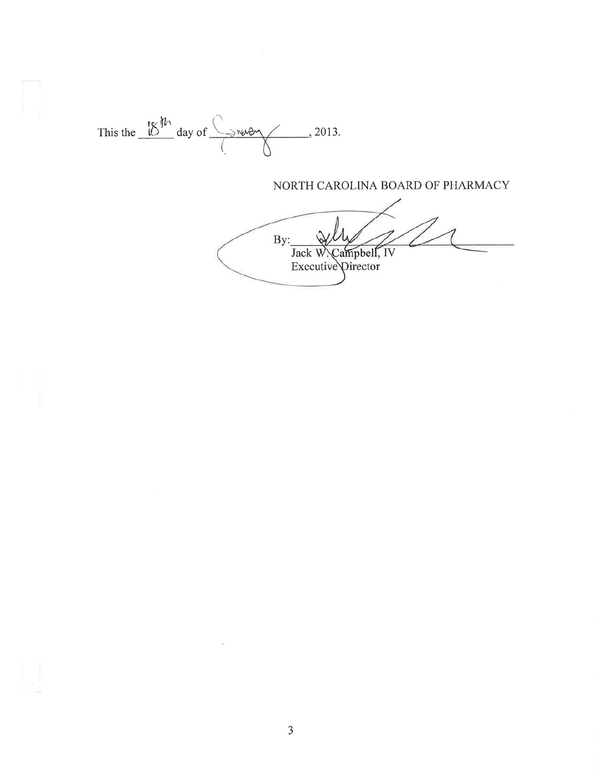

# NORTH CAROLINA BOARD OF PHARMACY

 $By:$ Jack W. Campbell, IV<br>Executive Director